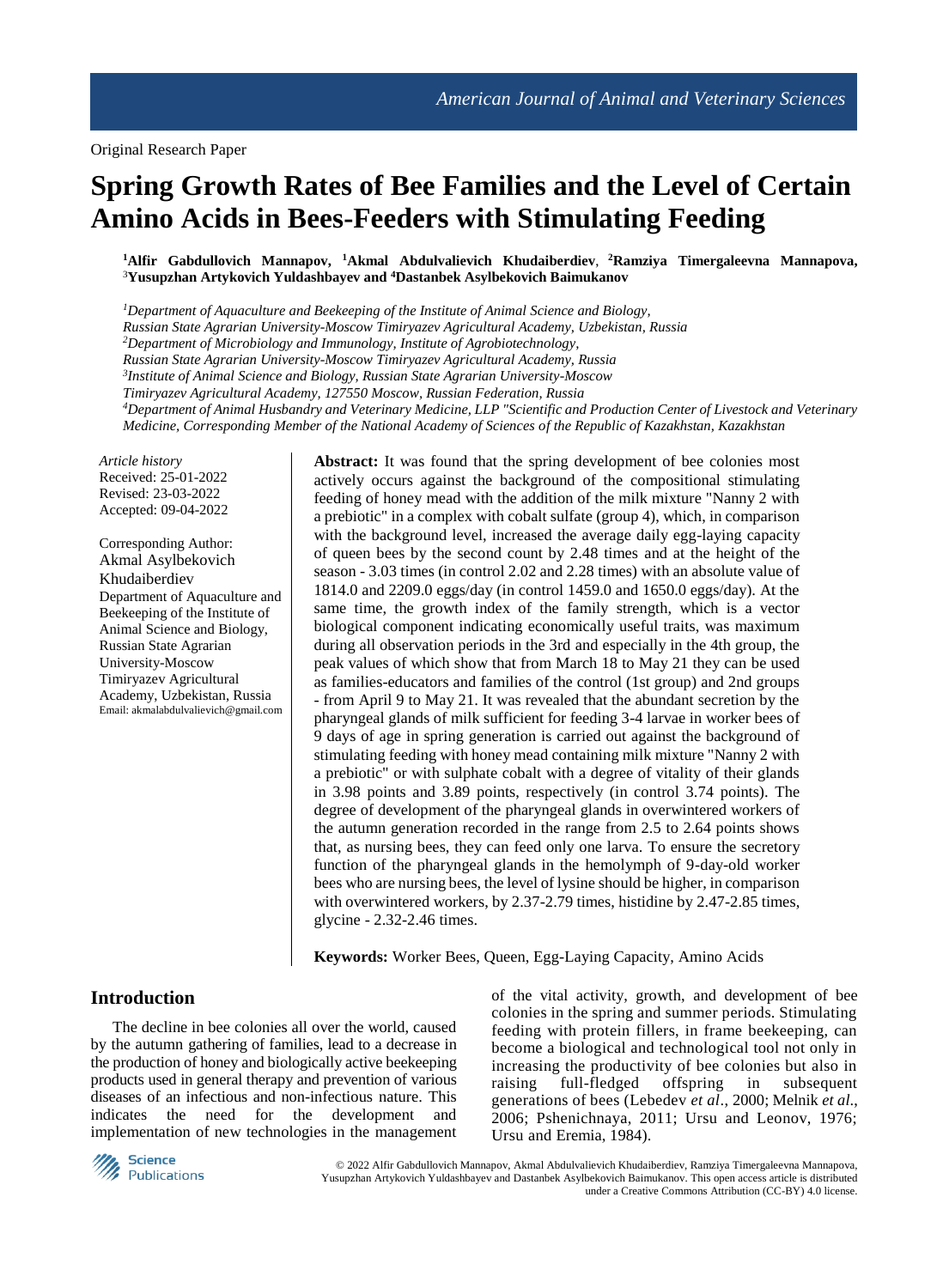# **Spring Growth Rates of Bee Families and the Level of Certain Amino Acids in Bees-Feeders with Stimulating Feeding**

**<sup>1</sup>Alfir Gabdullovich Mannapov, <sup>1</sup>Akmal Abdulvalievich Khudaiberdiev**, **<sup>2</sup>Ramziya Timergaleevna Mannapova,**  <sup>3</sup>**Yusupzhan Artykovich Yuldashbayev and <sup>4</sup>Dastanbek Asylbekovich Baimukanov**

*<sup>1</sup>Department of Aquaculture and Beekeeping of the Institute of Animal Science and Biology, Russian State Agrarian University-Moscow Timiryazev Agricultural Academy, Uzbekistan, Russia <sup>2</sup>Department of Microbiology and Immunology, Institute of Agrobiotechnology, Russian State Agrarian University-Moscow Timiryazev Agricultural Academy, Russia 3 Institute of Animal Science and Biology, Russian State Agrarian University-Moscow Timiryazev Agricultural Academy, 127550 Moscow, Russian Federation, Russia <sup>4</sup>Department of Animal Husbandry and Veterinary Medicine, LLP "Scientific and Production Center of Livestock and Veterinary Medicine, Corresponding Member of the National Academy of Sciences of the Republic of Kazakhstan, Kazakhstan*

*Article history* Received: 25-01-2022 Revised: 23-03-2022 Accepted: 09-04-2022

Corresponding Author: Akmal Asylbekovich Khudaiberdiev Department of Aquaculture and Beekeeping of the Institute of Animal Science and Biology, Russian State Agrarian University-Moscow Timiryazev Agricultural Academy, Uzbekistan, Russia Email: akmalabdulvalievich@gmail.com **Abstract:** It was found that the spring development of bee colonies most actively occurs against the background of the compositional stimulating feeding of honey mead with the addition of the milk mixture "Nanny 2 with a prebiotic" in a complex with cobalt sulfate (group 4), which, in comparison with the background level, increased the average daily egg-laying capacity of queen bees by the second count by 2.48 times and at the height of the season - 3.03 times (in control 2.02 and 2.28 times) with an absolute value of 1814.0 and 2209.0 eggs/day (in control 1459.0 and 1650.0 eggs/day). At the same time, the growth index of the family strength, which is a vector biological component indicating economically useful traits, was maximum during all observation periods in the 3rd and especially in the 4th group, the peak values of which show that from March 18 to May 21 they can be used as families-educators and families of the control (1st group) and 2nd groups - from April 9 to May 21. It was revealed that the abundant secretion by the pharyngeal glands of milk sufficient for feeding 3-4 larvae in worker bees of 9 days of age in spring generation is carried out against the background of stimulating feeding with honey mead containing milk mixture "Nanny 2 with a prebiotic" or with sulphate cobalt with a degree of vitality of their glands in 3.98 points and 3.89 points, respectively (in control 3.74 points). The degree of development of the pharyngeal glands in overwintered workers of the autumn generation recorded in the range from 2.5 to 2.64 points shows that, as nursing bees, they can feed only one larva. To ensure the secretory function of the pharyngeal glands in the hemolymph of 9-day-old worker bees who are nursing bees, the level of lysine should be higher, in comparison with overwintered workers, by 2.37-2.79 times, histidine by 2.47-2.85 times, glycine - 2.32-2.46 times.

**Keywords:** Worker Bees, Queen, Egg-Laying Capacity, Amino Acids

## **Introduction**

The decline in bee colonies all over the world, caused by the autumn gathering of families, lead to a decrease in the production of honey and biologically active beekeeping products used in general therapy and prevention of various diseases of an infectious and non-infectious nature. This indicates the need for the development and implementation of new technologies in the management of the vital activity, growth, and development of bee colonies in the spring and summer periods. Stimulating feeding with protein fillers, in frame beekeeping, can become a biological and technological tool not only in increasing the productivity of bee colonies but also in raising full-fledged offspring in subsequent generations of bees (Lebedev *et al*., 2000; Melnik *et al*., 2006; Pshenichnaya, 2011; Ursu and Leonov, 1976; Ursu and Eremia, 1984).



© 2022 Alfir Gabdullovich Mannapov, Akmal Abdulvalievich Khudaiberdiev, Ramziya Timergaleevna Mannapova, Yusupzhan Artykovich Yuldashbayev and Dastanbek Asylbekovich Baimukanov. This open access article is distributed under a Creative Commons Attribution (CC-BY) 4.0 license.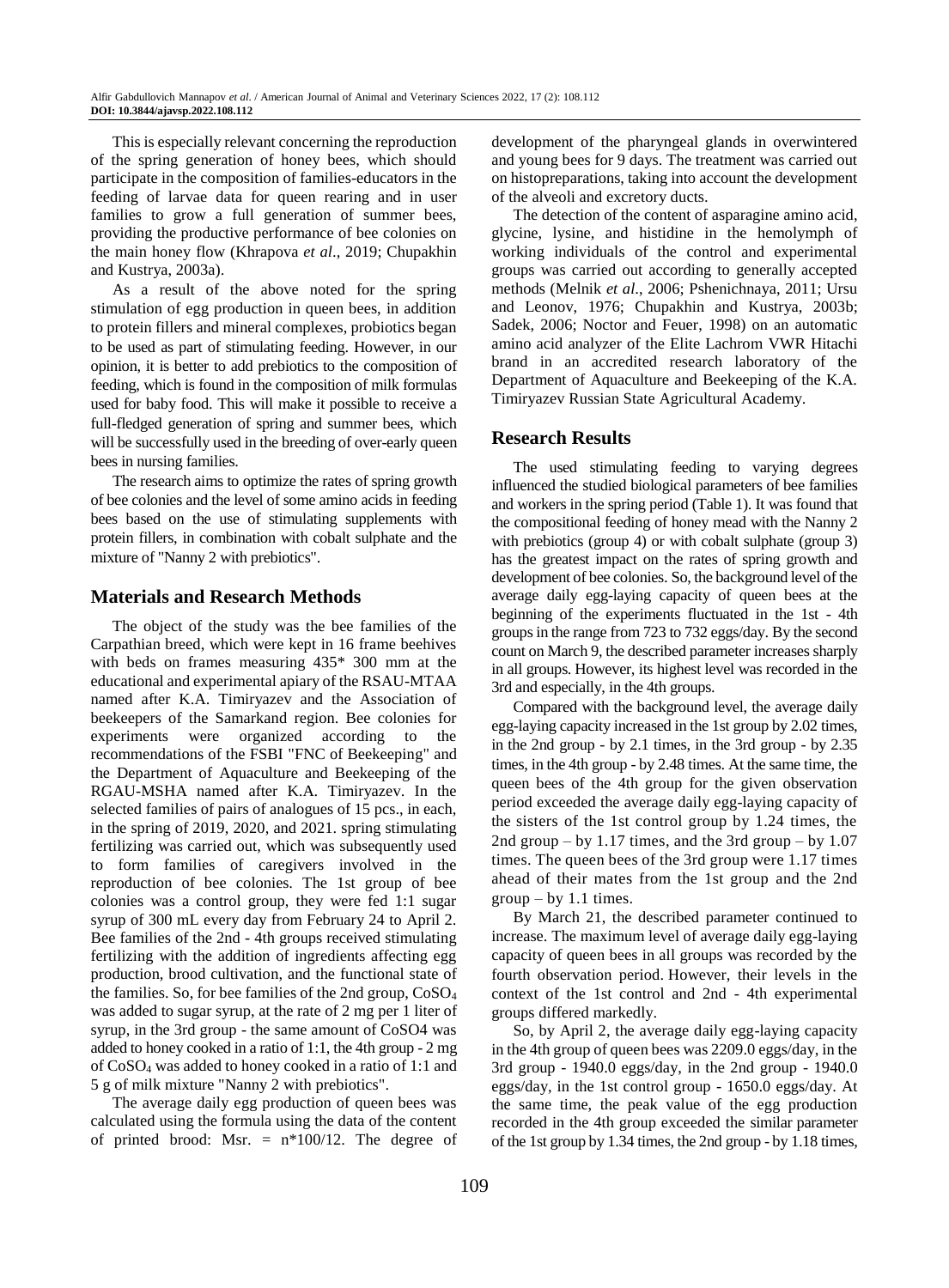This is especially relevant concerning the reproduction of the spring generation of honey bees, which should participate in the composition of families-educators in the feeding of larvae data for queen rearing and in user families to grow a full generation of summer bees, providing the productive performance of bee colonies on the main honey flow (Khrapova *et al*., 2019; Chupakhin and Kustrya, 2003a).

As a result of the above noted for the spring stimulation of egg production in queen bees, in addition to protein fillers and mineral complexes, probiotics began to be used as part of stimulating feeding. However, in our opinion, it is better to add prebiotics to the composition of feeding, which is found in the composition of milk formulas used for baby food. This will make it possible to receive a full-fledged generation of spring and summer bees, which will be successfully used in the breeding of over-early queen bees in nursing families.

The research aims to optimize the rates of spring growth of bee colonies and the level of some amino acids in feeding bees based on the use of stimulating supplements with protein fillers, in combination with cobalt sulphate and the mixture of "Nanny 2 with prebiotics".

## **Materials and Research Methods**

The object of the study was the bee families of the Carpathian breed, which were kept in 16 frame beehives with beds on frames measuring 435\* 300 mm at the educational and experimental apiary of the RSAU-MTAA named after K.A. Timiryazev and the Association of beekeepers of the Samarkand region. Bee colonies for experiments were organized according to the recommendations of the FSBI "FNC of Beekeeping" and the Department of Aquaculture and Beekeeping of the RGAU-MSHA named after K.A. Timiryazev. In the selected families of pairs of analogues of 15 pcs., in each, in the spring of 2019, 2020, and 2021. spring stimulating fertilizing was carried out, which was subsequently used to form families of caregivers involved in the reproduction of bee colonies. The 1st group of bee colonies was a control group, they were fed 1:1 sugar syrup of 300 mL every day from February 24 to April 2. Bee families of the 2nd - 4th groups received stimulating fertilizing with the addition of ingredients affecting egg production, brood cultivation, and the functional state of the families. So, for bee families of the 2nd group, CoSO<sup>4</sup> was added to sugar syrup, at the rate of 2 mg per 1 liter of syrup, in the 3rd group - the same amount of CoSO4 was added to honey cooked in a ratio of 1:1, the 4th group - 2 mg of CoSO<sup>4</sup> was added to honey cooked in a ratio of 1:1 and 5 g of milk mixture "Nanny 2 with prebiotics".

The average daily egg production of queen bees was calculated using the formula using the data of the content of printed brood: Msr.  $=$  n\*100/12. The degree of development of the pharyngeal glands in overwintered and young bees for 9 days. The treatment was carried out on histopreparations, taking into account the development of the alveoli and excretory ducts.

The detection of the content of asparagine amino acid, glycine, lysine, and histidine in the hemolymph of working individuals of the control and experimental groups was carried out according to generally accepted methods (Melnik *et al*., 2006; Pshenichnaya, 2011; Ursu and Leonov, 1976; Chupakhin and Kustrya, 2003b; Sadek, 2006; Noctor and Feuer, 1998) on an automatic amino acid analyzer of the Elite Lachrom VWR Hitachi brand in an accredited research laboratory of the Department of Aquaculture and Beekeeping of the K.A. Timiryazev Russian State Agricultural Academy.

## **Research Results**

The used stimulating feeding to varying degrees influenced the studied biological parameters of bee families and workers in the spring period (Table 1). It was found that the compositional feeding of honey mead with the Nanny 2 with prebiotics (group 4) or with cobalt sulphate (group 3) has the greatest impact on the rates of spring growth and development of bee colonies. So, the background level of the average daily egg-laying capacity of queen bees at the beginning of the experiments fluctuated in the 1st - 4th groups in the range from 723 to 732 eggs/day. By the second count on March 9, the described parameter increases sharply in all groups. However, its highest level was recorded in the 3rd and especially, in the 4th groups.

Compared with the background level, the average daily egg-laying capacity increased in the 1st group by 2.02 times, in the 2nd group - by 2.1 times, in the 3rd group - by 2.35 times, in the 4th group - by 2.48 times. At the same time, the queen bees of the 4th group for the given observation period exceeded the average daily egg-laying capacity of the sisters of the 1st control group by 1.24 times, the 2nd group – by 1.17 times, and the 3rd group – by  $1.07$ times. The queen bees of the 3rd group were 1.17 times ahead of their mates from the 1st group and the 2nd  $group - by 1.1$  times.

By March 21, the described parameter continued to increase. The maximum level of average daily egg-laying capacity of queen bees in all groups was recorded by the fourth observation period. However, their levels in the context of the 1st control and 2nd - 4th experimental groups differed markedly.

So, by April 2, the average daily egg-laying capacity in the 4th group of queen bees was 2209.0 eggs/day, in the 3rd group - 1940.0 eggs/day, in the 2nd group - 1940.0 eggs/day, in the 1st control group - 1650.0 eggs/day. At the same time, the peak value of the egg production recorded in the 4th group exceeded the similar parameter of the 1st group by 1.34 times, the 2nd group - by 1.18 times,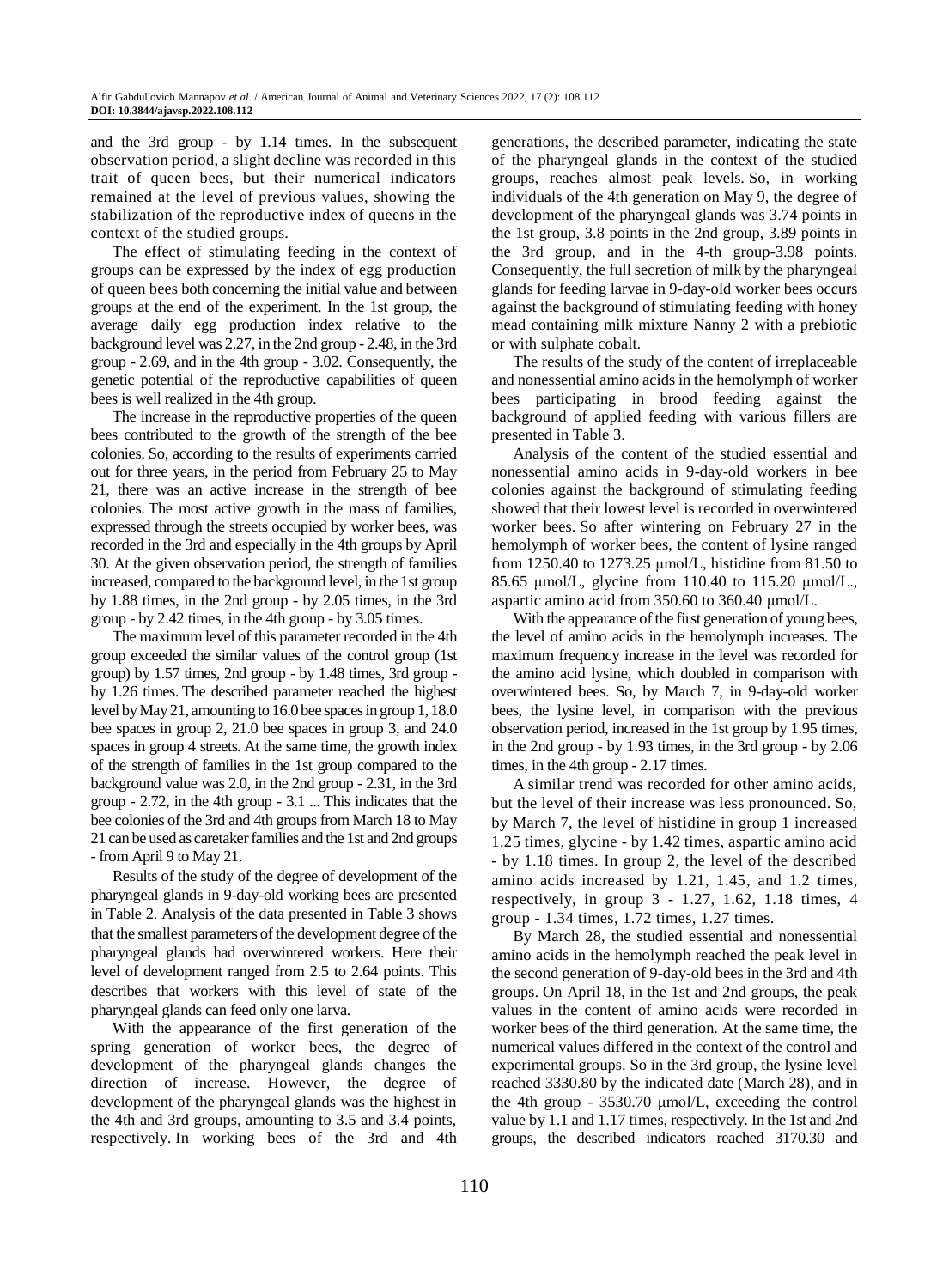and the 3rd group - by 1.14 times. In the subsequent observation period, a slight decline was recorded in this trait of queen bees, but their numerical indicators remained at the level of previous values, showing the stabilization of the reproductive index of queens in the context of the studied groups.

The effect of stimulating feeding in the context of groups can be expressed by the index of egg production of queen bees both concerning the initial value and between groups at the end of the experiment. In the 1st group, the average daily egg production index relative to the background level was 2.27, in the 2nd group - 2.48, in the 3rd group - 2.69, and in the 4th group - 3.02. Consequently, the genetic potential of the reproductive capabilities of queen bees is well realized in the 4th group.

The increase in the reproductive properties of the queen bees contributed to the growth of the strength of the bee colonies. So, according to the results of experiments carried out for three years, in the period from February 25 to May 21, there was an active increase in the strength of bee colonies. The most active growth in the mass of families, expressed through the streets occupied by worker bees, was recorded in the 3rd and especially in the 4th groups by April 30. At the given observation period, the strength of families increased, compared to the background level, in the 1st group by 1.88 times, in the 2nd group - by 2.05 times, in the 3rd group - by 2.42 times, in the 4th group - by 3.05 times.

The maximum level of this parameter recorded in the 4th group exceeded the similar values of the control group (1st group) by 1.57 times, 2nd group - by 1.48 times, 3rd group by 1.26 times. The described parameter reached the highest level by May 21, amounting to 16.0 bee spaces in group 1, 18.0 bee spaces in group 2, 21.0 bee spaces in group 3, and 24.0 spaces in group 4 streets. At the same time, the growth index of the strength of families in the 1st group compared to the background value was 2.0, in the 2nd group - 2.31, in the 3rd group - 2.72, in the 4th group - 3.1 ... This indicates that the bee colonies of the 3rd and 4th groups from March 18 to May 21 can be used as caretaker families and the 1st and 2nd groups - from April 9 to May 21.

Results of the study of the degree of development of the pharyngeal glands in 9-day-old working bees are presented in Table 2. Analysis of the data presented in Table 3 shows that the smallest parameters of the development degree of the pharyngeal glands had overwintered workers. Here their level of development ranged from 2.5 to 2.64 points. This describes that workers with this level of state of the pharyngeal glands can feed only one larva.

With the appearance of the first generation of the spring generation of worker bees, the degree of development of the pharyngeal glands changes the direction of increase. However, the degree of development of the pharyngeal glands was the highest in the 4th and 3rd groups, amounting to 3.5 and 3.4 points, respectively. In working bees of the 3rd and 4th

generations, the described parameter, indicating the state of the pharyngeal glands in the context of the studied groups, reaches almost peak levels. So, in working individuals of the 4th generation on May 9, the degree of development of the pharyngeal glands was 3.74 points in the 1st group, 3.8 points in the 2nd group, 3.89 points in the 3rd group, and in the 4-th group-3.98 points. Consequently, the full secretion of milk by the pharyngeal glands for feeding larvae in 9-day-old worker bees occurs against the background of stimulating feeding with honey mead containing milk mixture Nanny 2 with a prebiotic or with sulphate cobalt.

The results of the study of the content of irreplaceable and nonessential amino acids in the hemolymph of worker bees participating in brood feeding against the background of applied feeding with various fillers are presented in Table 3.

Analysis of the content of the studied essential and nonessential amino acids in 9-day-old workers in bee colonies against the background of stimulating feeding showed that their lowest level is recorded in overwintered worker bees. So after wintering on February 27 in the hemolymph of worker bees, the content of lysine ranged from 1250.40 to 1273.25 μmol/L, histidine from 81.50 to 85.65 μmol/L, glycine from 110.40 to 115.20 μmol/L., aspartic amino acid from 350.60 to 360.40 μmol/L.

With the appearance of the first generation of young bees, the level of amino acids in the hemolymph increases. The maximum frequency increase in the level was recorded for the amino acid lysine, which doubled in comparison with overwintered bees. So, by March 7, in 9-day-old worker bees, the lysine level, in comparison with the previous observation period, increased in the 1st group by 1.95 times, in the 2nd group - by 1.93 times, in the 3rd group - by 2.06 times, in the 4th group - 2.17 times.

A similar trend was recorded for other amino acids, but the level of their increase was less pronounced. So, by March 7, the level of histidine in group 1 increased 1.25 times, glycine - by 1.42 times, aspartic amino acid - by 1.18 times. In group 2, the level of the described amino acids increased by 1.21, 1.45, and 1.2 times, respectively, in group 3 - 1.27, 1.62, 1.18 times, 4 group - 1.34 times, 1.72 times, 1.27 times.

By March 28, the studied essential and nonessential amino acids in the hemolymph reached the peak level in the second generation of 9-day-old bees in the 3rd and 4th groups. On April 18, in the 1st and 2nd groups, the peak values in the content of amino acids were recorded in worker bees of the third generation. At the same time, the numerical values differed in the context of the control and experimental groups. So in the 3rd group, the lysine level reached 3330.80 by the indicated date (March 28), and in the 4th group - 3530.70 μmol/L, exceeding the control value by 1.1 and 1.17 times, respectively. In the 1st and 2nd groups, the described indicators reached 3170.30 and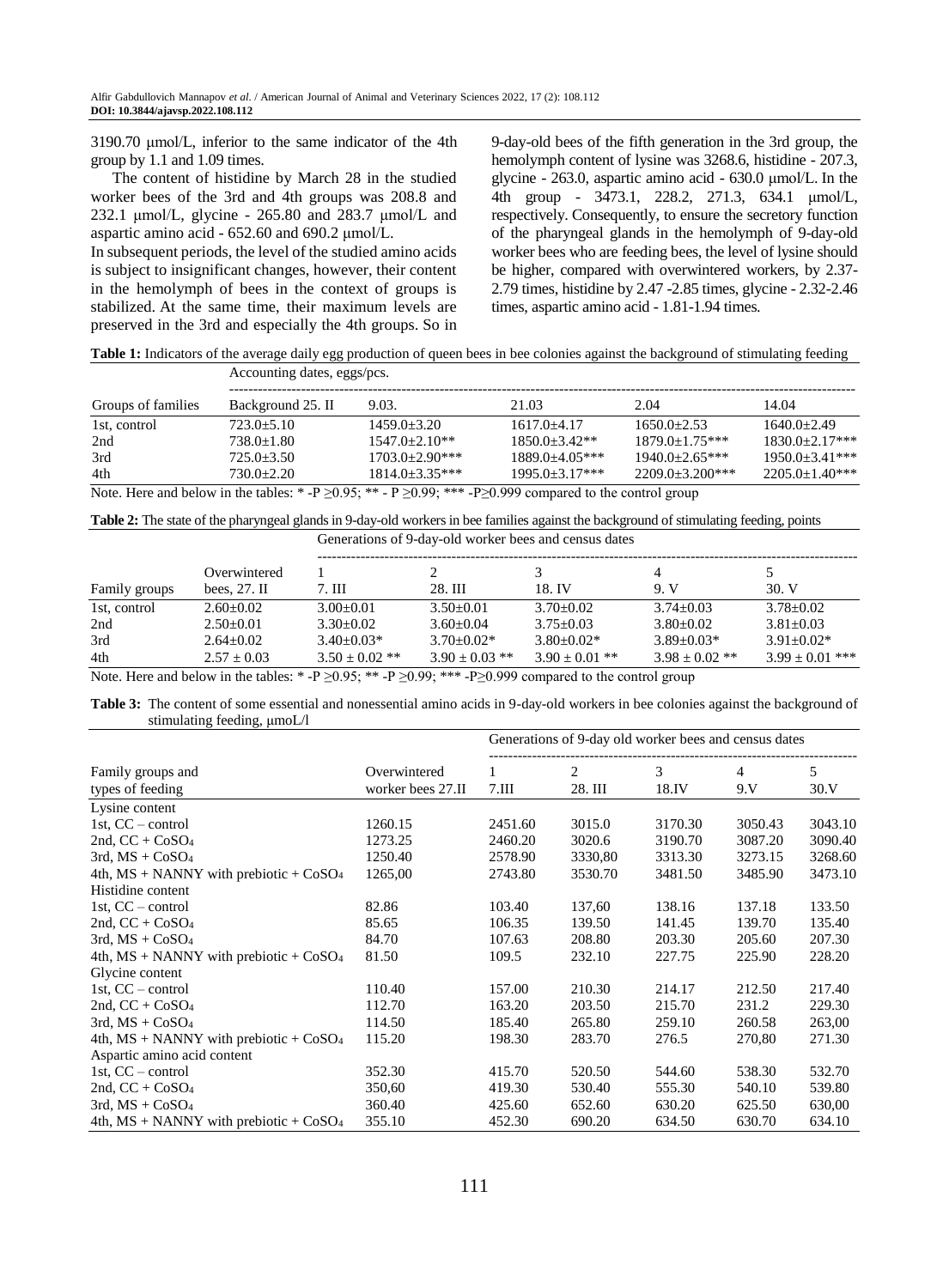3190.70 μmol/L, inferior to the same indicator of the 4th group by 1.1 and 1.09 times.

The content of histidine by March 28 in the studied worker bees of the 3rd and 4th groups was 208.8 and 232.1 μmol/L, glycine - 265.80 and 283.7 μmol/L and aspartic amino acid - 652.60 and 690.2 μmol/L.

In subsequent periods, the level of the studied amino acids is subject to insignificant changes, however, their content in the hemolymph of bees in the context of groups is stabilized. At the same time, their maximum levels are preserved in the 3rd and especially the 4th groups. So in 9-day-old bees of the fifth generation in the 3rd group, the hemolymph content of lysine was 3268.6, histidine - 207.3, glycine - 263.0, aspartic amino acid - 630.0 μmol/L. In the 4th group - 3473.1, 228.2, 271.3, 634.1 μmol/L, respectively. Consequently, to ensure the secretory function of the pharyngeal glands in the hemolymph of 9-day-old worker bees who are feeding bees, the level of lysine should be higher, compared with overwintered workers, by 2.37- 2.79 times, histidine by 2.47 -2.85 times, glycine - 2.32-2.46 times, aspartic amino acid - 1.81-1.94 times.

**Table 1:** Indicators of the average daily egg production of queen bees in bee colonies against the background of stimulating feeding

| Groups of families | Accounting dates, eggs/pcs. |                    |                      |                      |                     |  |  |  |
|--------------------|-----------------------------|--------------------|----------------------|----------------------|---------------------|--|--|--|
|                    | Background 25. II           | 9.03.              | 21.03                | 2.04                 | 14.04               |  |  |  |
| 1st, control       | $723.0 + 5.10$              | $1459.0 + 3.20$    | $1617.0 + 4.17$      | $1650.0+2.53$        | $1640.0+2.49$       |  |  |  |
| 2nd                | $738.0 + 1.80$              | $1547.0 + 2.10**$  | $1850.0 + 3.42**$    | $1879.0 + 1.75***$   | $1830.0+2.17***$    |  |  |  |
| 3rd                | $725.0 + 3.50$              | $1703.0+2.90***$   | $1889.0 \pm 4.05***$ | $1940.0 + 2.65***$   | $1950.0 + 3.41$ *** |  |  |  |
| 4th                | $730.0 + 2.20$              | $1814.0 + 3.35***$ | $1995.0 + 3.17$ ***  | $2209.0 + 3.200$ *** | $2205.0+1.40***$    |  |  |  |

Note. Here and below in the tables: \*-P  $\geq$  0.95; \*\* - P  $\geq$  0.99; \*\*\* -P $\geq$  0.999 compared to the control group

**Table 2:** The state of the pharyngeal glands in 9-day-old workers in bee families against the background of stimulating feeding, points

Generations of 9-day-old worker bees and census dates

| $3.78 + 0.02$     |
|-------------------|
| $3.81 + 0.03$     |
| $3.91 + 0.02*$    |
| $3.99 + 0.01$ *** |
|                   |

Note. Here and below in the tables:  $* -P \ge 0.95$ ;  $** -P \ge 0.99$ ;  $** -P \ge 0.999$  compared to the control group

**Table 3:** The content of some essential and nonessential amino acids in 9-day-old workers in bee colonies against the background of stimulating feeding, μmoL/l

|                                            |                   |         | Generations of 9-day old worker bees and census dates |         |                |         |  |
|--------------------------------------------|-------------------|---------|-------------------------------------------------------|---------|----------------|---------|--|
| Family groups and                          | Overwintered      | 1       | $\overline{c}$                                        | 3       | $\overline{4}$ | 5       |  |
| types of feeding                           | worker bees 27.II | 7.III   | 28. III                                               | 18.IV   | 9. V           | 30.V    |  |
| Lysine content                             |                   |         |                                                       |         |                |         |  |
| 1st, $CC$ – control                        | 1260.15           | 2451.60 | 3015.0                                                | 3170.30 | 3050.43        | 3043.10 |  |
| 2nd, $CC + CoSO4$                          | 1273.25           | 2460.20 | 3020.6                                                | 3190.70 | 3087.20        | 3090.40 |  |
| $3rd$ , MS + $CoSO4$                       | 1250.40           | 2578.90 | 3330,80                                               | 3313.30 | 3273.15        | 3268.60 |  |
| 4th, $MS + NANNY$ with prebiotic + $CoSO4$ | 1265,00           | 2743.80 | 3530.70                                               | 3481.50 | 3485.90        | 3473.10 |  |
| Histidine content                          |                   |         |                                                       |         |                |         |  |
| 1st, $CC$ – control                        | 82.86             | 103.40  | 137,60                                                | 138.16  | 137.18         | 133.50  |  |
| 2nd, $CC + CoSO4$                          | 85.65             | 106.35  | 139.50                                                | 141.45  | 139.70         | 135.40  |  |
| $3rd$ , MS + $CoSO4$                       | 84.70             | 107.63  | 208.80                                                | 203.30  | 205.60         | 207.30  |  |
| 4th, $MS + NANNY$ with prebiotic + $CoSO4$ | 81.50             | 109.5   | 232.10                                                | 227.75  | 225.90         | 228.20  |  |
| Glycine content                            |                   |         |                                                       |         |                |         |  |
| 1st, $CC$ – control                        | 110.40            | 157.00  | 210.30                                                | 214.17  | 212.50         | 217.40  |  |
| 2nd, $CC + CoSO4$                          | 112.70            | 163.20  | 203.50                                                | 215.70  | 231.2          | 229.30  |  |
| $3rd$ , $MS + CoSO4$                       | 114.50            | 185.40  | 265.80                                                | 259.10  | 260.58         | 263,00  |  |
| 4th, $MS + NANNY$ with prebiotic + $CoSO4$ | 115.20            | 198.30  | 283.70                                                | 276.5   | 270,80         | 271.30  |  |
| Aspartic amino acid content                |                   |         |                                                       |         |                |         |  |
| 1st, $CC$ – control                        | 352.30            | 415.70  | 520.50                                                | 544.60  | 538.30         | 532.70  |  |
| 2nd, $CC + CoSO4$                          | 350,60            | 419.30  | 530.40                                                | 555.30  | 540.10         | 539.80  |  |
| $3rd$ , MS + $CoSO4$                       | 360.40            | 425.60  | 652.60                                                | 630.20  | 625.50         | 630,00  |  |
| 4th, $MS + NANNY$ with prebiotic + $CoSO4$ | 355.10            | 452.30  | 690.20                                                | 634.50  | 630.70         | 634.10  |  |